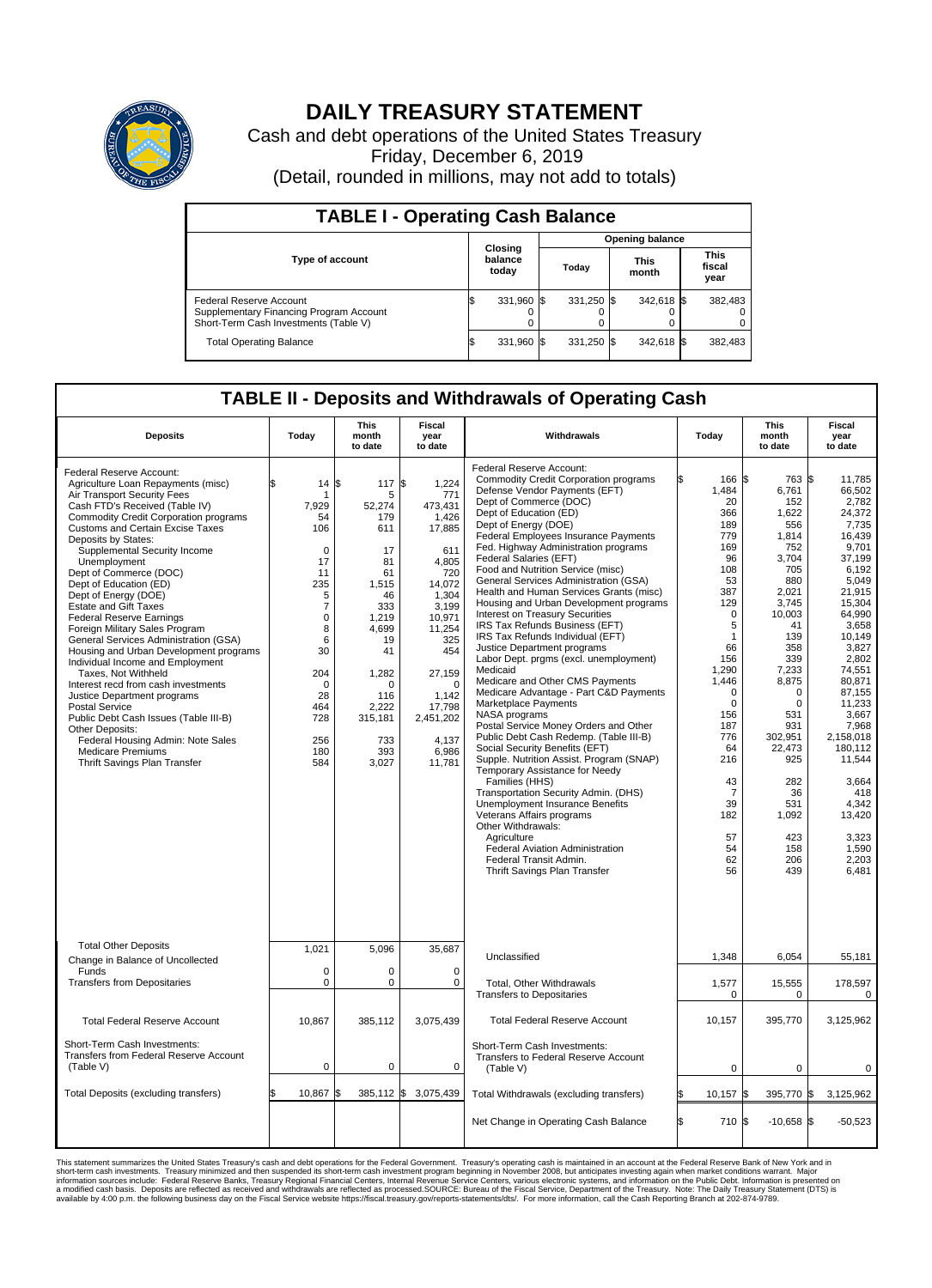

## **DAILY TREASURY STATEMENT**

Cash and debt operations of the United States Treasury Friday, December 6, 2019 (Detail, rounded in millions, may not add to totals)

| <b>TABLE I - Operating Cash Balance</b>                                                                     |  |                             |                        |            |  |                      |  |                               |  |
|-------------------------------------------------------------------------------------------------------------|--|-----------------------------|------------------------|------------|--|----------------------|--|-------------------------------|--|
|                                                                                                             |  |                             | <b>Opening balance</b> |            |  |                      |  |                               |  |
| <b>Type of account</b>                                                                                      |  | Closing<br>balance<br>today |                        | Today      |  | <b>This</b><br>month |  | <b>This</b><br>fiscal<br>year |  |
| Federal Reserve Account<br>Supplementary Financing Program Account<br>Short-Term Cash Investments (Table V) |  | 331,960 \$                  |                        | 331,250 \$ |  | 342,618 \$           |  | 382,483                       |  |
| <b>Total Operating Balance</b>                                                                              |  | 331,960 \$                  |                        | 331,250 \$ |  | 342,618 \$           |  | 382,483                       |  |

## **TABLE II - Deposits and Withdrawals of Operating Cash**

| <b>Deposits</b>                                                                                                                                                                                                                                                                                                                                                                                                                                                                                                                                                                                                                                                                                                                                                                                                                                                                              | Today                                                                                                                                                                    | This<br>month<br>to date                                                                                                                                                                | Fiscal<br>year<br>to date                                                                                                                                                                                         | Withdrawals                                                                                                                                                                                                                                                                                                                                                                                                                                                                                                                                                                                                                                                                                                                                                                                                                                                                                                                                                                                                                                                                                                                                                                                                                                                         |    | Today                                                                                                                                                                                                                                                    | This<br>month<br>to date                                                                                                                                                                                                                                                             | <b>Fiscal</b><br>year<br>to date                                                                                                                                                                                                                                                                                                  |
|----------------------------------------------------------------------------------------------------------------------------------------------------------------------------------------------------------------------------------------------------------------------------------------------------------------------------------------------------------------------------------------------------------------------------------------------------------------------------------------------------------------------------------------------------------------------------------------------------------------------------------------------------------------------------------------------------------------------------------------------------------------------------------------------------------------------------------------------------------------------------------------------|--------------------------------------------------------------------------------------------------------------------------------------------------------------------------|-----------------------------------------------------------------------------------------------------------------------------------------------------------------------------------------|-------------------------------------------------------------------------------------------------------------------------------------------------------------------------------------------------------------------|---------------------------------------------------------------------------------------------------------------------------------------------------------------------------------------------------------------------------------------------------------------------------------------------------------------------------------------------------------------------------------------------------------------------------------------------------------------------------------------------------------------------------------------------------------------------------------------------------------------------------------------------------------------------------------------------------------------------------------------------------------------------------------------------------------------------------------------------------------------------------------------------------------------------------------------------------------------------------------------------------------------------------------------------------------------------------------------------------------------------------------------------------------------------------------------------------------------------------------------------------------------------|----|----------------------------------------------------------------------------------------------------------------------------------------------------------------------------------------------------------------------------------------------------------|--------------------------------------------------------------------------------------------------------------------------------------------------------------------------------------------------------------------------------------------------------------------------------------|-----------------------------------------------------------------------------------------------------------------------------------------------------------------------------------------------------------------------------------------------------------------------------------------------------------------------------------|
| Federal Reserve Account:<br>Agriculture Loan Repayments (misc)<br>Air Transport Security Fees<br>Cash FTD's Received (Table IV)<br><b>Commodity Credit Corporation programs</b><br><b>Customs and Certain Excise Taxes</b><br>Deposits by States:<br>Supplemental Security Income<br>Unemployment<br>Dept of Commerce (DOC)<br>Dept of Education (ED)<br>Dept of Energy (DOE)<br><b>Estate and Gift Taxes</b><br><b>Federal Reserve Earnings</b><br>Foreign Military Sales Program<br>General Services Administration (GSA)<br>Housing and Urban Development programs<br>Individual Income and Employment<br>Taxes, Not Withheld<br>Interest recd from cash investments<br>Justice Department programs<br><b>Postal Service</b><br>Public Debt Cash Issues (Table III-B)<br>Other Deposits:<br>Federal Housing Admin: Note Sales<br><b>Medicare Premiums</b><br>Thrift Savings Plan Transfer | \$<br>14<br>7,929<br>54<br>106<br>$\mathbf 0$<br>17<br>11<br>235<br>5<br>$\overline{7}$<br>0<br>8<br>6<br>30<br>204<br>$\Omega$<br>28<br>464<br>728<br>256<br>180<br>584 | 117 \$<br>l\$<br>5<br>52,274<br>179<br>611<br>17<br>81<br>61<br>1,515<br>46<br>333<br>1.219<br>4,699<br>19<br>41<br>1,282<br>$\Omega$<br>116<br>2,222<br>315,181<br>733<br>393<br>3,027 | 1,224<br>771<br>473,431<br>1.426<br>17,885<br>611<br>4.805<br>720<br>14,072<br>1,304<br>3,199<br>10,971<br>11,254<br>325<br>454<br>27,159<br>$\Omega$<br>1.142<br>17,798<br>2,451,202<br>4.137<br>6,986<br>11,781 | Federal Reserve Account:<br><b>Commodity Credit Corporation programs</b><br>Defense Vendor Payments (EFT)<br>Dept of Commerce (DOC)<br>Dept of Education (ED)<br>Dept of Energy (DOE)<br><b>Federal Employees Insurance Payments</b><br>Fed. Highway Administration programs<br>Federal Salaries (EFT)<br>Food and Nutrition Service (misc)<br>General Services Administration (GSA)<br>Health and Human Services Grants (misc)<br>Housing and Urban Development programs<br><b>Interest on Treasury Securities</b><br>IRS Tax Refunds Business (EFT)<br>IRS Tax Refunds Individual (EFT)<br>Justice Department programs<br>Labor Dept. prgms (excl. unemployment)<br>Medicaid<br>Medicare and Other CMS Payments<br>Medicare Advantage - Part C&D Payments<br>Marketplace Payments<br>NASA programs<br>Postal Service Money Orders and Other<br>Public Debt Cash Redemp. (Table III-B)<br>Social Security Benefits (EFT)<br>Supple. Nutrition Assist. Program (SNAP)<br>Temporary Assistance for Needy<br>Families (HHS)<br>Transportation Security Admin. (DHS)<br>Unemployment Insurance Benefits<br>Veterans Affairs programs<br>Other Withdrawals:<br>Agriculture<br>Federal Aviation Administration<br>Federal Transit Admin.<br>Thrift Savings Plan Transfer |    | 166 \$<br>1,484<br>20<br>366<br>189<br>779<br>169<br>96<br>108<br>53<br>387<br>129<br>$\mathbf 0$<br>5<br>1<br>66<br>156<br>1,290<br>1,446<br>$\Omega$<br>$\mathbf 0$<br>156<br>187<br>776<br>64<br>216<br>43<br>-7<br>39<br>182<br>57<br>54<br>62<br>56 | 763 \$<br>6,761<br>152<br>1,622<br>556<br>1,814<br>752<br>3,704<br>705<br>880<br>2,021<br>3,745<br>10,003<br>41<br>139<br>358<br>339<br>7,233<br>8,875<br>$\mathbf 0$<br>$\Omega$<br>531<br>931<br>302,951<br>22,473<br>925<br>282<br>36<br>531<br>1,092<br>423<br>158<br>206<br>439 | 11,785<br>66.502<br>2.782<br>24,372<br>7,735<br>16,439<br>9.701<br>37,199<br>6.192<br>5,049<br>21,915<br>15,304<br>64,990<br>3.658<br>10,149<br>3,827<br>2.802<br>74.551<br>80,871<br>87,155<br>11.233<br>3,667<br>7,968<br>2,158,018<br>180.112<br>11,544<br>3,664<br>418<br>4.342<br>13,420<br>3,323<br>1,590<br>2,203<br>6,481 |
| <b>Total Other Deposits</b><br>Change in Balance of Uncollected                                                                                                                                                                                                                                                                                                                                                                                                                                                                                                                                                                                                                                                                                                                                                                                                                              | 1,021                                                                                                                                                                    | 5,096                                                                                                                                                                                   | 35,687                                                                                                                                                                                                            | Unclassified                                                                                                                                                                                                                                                                                                                                                                                                                                                                                                                                                                                                                                                                                                                                                                                                                                                                                                                                                                                                                                                                                                                                                                                                                                                        |    | 1,348                                                                                                                                                                                                                                                    | 6,054                                                                                                                                                                                                                                                                                | 55,181                                                                                                                                                                                                                                                                                                                            |
| Funds<br><b>Transfers from Depositaries</b>                                                                                                                                                                                                                                                                                                                                                                                                                                                                                                                                                                                                                                                                                                                                                                                                                                                  | $\Omega$<br>0                                                                                                                                                            | $\Omega$<br>$\pmb{0}$                                                                                                                                                                   | $\Omega$<br>0                                                                                                                                                                                                     | Total, Other Withdrawals<br><b>Transfers to Depositaries</b>                                                                                                                                                                                                                                                                                                                                                                                                                                                                                                                                                                                                                                                                                                                                                                                                                                                                                                                                                                                                                                                                                                                                                                                                        |    | 1,577<br>$\Omega$                                                                                                                                                                                                                                        | 15,555<br>$\Omega$                                                                                                                                                                                                                                                                   | 178,597<br>$\mathbf 0$                                                                                                                                                                                                                                                                                                            |
| <b>Total Federal Reserve Account</b>                                                                                                                                                                                                                                                                                                                                                                                                                                                                                                                                                                                                                                                                                                                                                                                                                                                         | 10,867                                                                                                                                                                   | 385,112                                                                                                                                                                                 | 3,075,439                                                                                                                                                                                                         | <b>Total Federal Reserve Account</b>                                                                                                                                                                                                                                                                                                                                                                                                                                                                                                                                                                                                                                                                                                                                                                                                                                                                                                                                                                                                                                                                                                                                                                                                                                |    | 10,157                                                                                                                                                                                                                                                   | 395,770                                                                                                                                                                                                                                                                              | 3,125,962                                                                                                                                                                                                                                                                                                                         |
| Short-Term Cash Investments:<br>Transfers from Federal Reserve Account<br>(Table V)                                                                                                                                                                                                                                                                                                                                                                                                                                                                                                                                                                                                                                                                                                                                                                                                          | $\mathbf 0$                                                                                                                                                              | $\mathbf 0$                                                                                                                                                                             | 0                                                                                                                                                                                                                 | Short-Term Cash Investments:<br>Transfers to Federal Reserve Account<br>(Table V)                                                                                                                                                                                                                                                                                                                                                                                                                                                                                                                                                                                                                                                                                                                                                                                                                                                                                                                                                                                                                                                                                                                                                                                   |    | $\mathbf 0$                                                                                                                                                                                                                                              | $\Omega$                                                                                                                                                                                                                                                                             | 0                                                                                                                                                                                                                                                                                                                                 |
| Total Deposits (excluding transfers)                                                                                                                                                                                                                                                                                                                                                                                                                                                                                                                                                                                                                                                                                                                                                                                                                                                         | \$<br>10,867 \$                                                                                                                                                          | $385,112$ \$                                                                                                                                                                            | 3,075,439                                                                                                                                                                                                         | Total Withdrawals (excluding transfers)                                                                                                                                                                                                                                                                                                                                                                                                                                                                                                                                                                                                                                                                                                                                                                                                                                                                                                                                                                                                                                                                                                                                                                                                                             |    | 10,157<br>S.                                                                                                                                                                                                                                             | 395,770 \$                                                                                                                                                                                                                                                                           | 3,125,962                                                                                                                                                                                                                                                                                                                         |
|                                                                                                                                                                                                                                                                                                                                                                                                                                                                                                                                                                                                                                                                                                                                                                                                                                                                                              |                                                                                                                                                                          |                                                                                                                                                                                         |                                                                                                                                                                                                                   | Net Change in Operating Cash Balance                                                                                                                                                                                                                                                                                                                                                                                                                                                                                                                                                                                                                                                                                                                                                                                                                                                                                                                                                                                                                                                                                                                                                                                                                                | ß. | 710 \$                                                                                                                                                                                                                                                   | $-10,658$ \$                                                                                                                                                                                                                                                                         | $-50,523$                                                                                                                                                                                                                                                                                                                         |

This statement summarizes the United States Treasury's cash and debt operations for the Federal Government. Treasury soperating in November 2008, but anticiarded in a cocount at the Federal metaformation sources investment